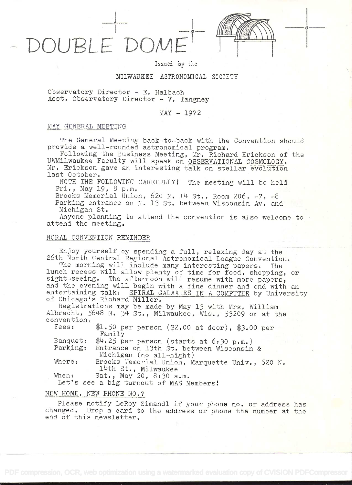



# Issued by the

## MILWAUKEE ASTRONOMICAL SOCIETY

Observatory Director - E, Halbach Asst, Observatory Director - V. Tangney

# $MAX - 1972$

#### MAY GENERAL MEETING

The General Meeting back-to-back with the Convention should provide a well-rounded astronomical program.

Following the Business Meeting, Mr. Richard Erickson of the UWMilwaukee Faculty will speak on OBSERVATIONAL COSMOLOGY. Mr. Erickson gave an interesting talk on stellar evolution last October.

NOTE THE FOLLOWING CAREFULLY! The meeting will be held Fri., May 19, 8 p.m.

Brooks Memorial Union, 620 N. 14 St., Room 206, -7, -8 Parking entrance on N. 13 St. between Wisconsin Av. and

Michigan St.

Anyone planning to attend the convention is also welcome to attend the meeting.

### NCRAL CONVENTION REMINDER

Enjoy yourself by spending a full, relaxing day at the 26th North Central Regional Astronomical League Convention.

The morning will include many interesting papers. The lunch recess will allow plenty of time for food, shopping, or sight-seeing. The afternoon will resume with more papers, and the evening will begin with a fine dinner and end with an entertaining talk: SPIRAL GALAXIES IN A COMPUTER by University of Chicago's Richard Miller.

Registrations may be made by May 13 with Mrs. William Albrecht, 5648 N. 34 St., Milwaukee, Wis., 53209 or at the convention.

Fees:  $$1.50$  per person (\$2.00 at door), \$3.00 per Family Banquet:  $$4.25$  per person (starts at 6:30 p.m.)<br>Parking: Entrance on 13th St. between Wisconsin Entrance on 13th St. between Wisconsin & Michigan (no all-night) Where: Brooks Memorial Union, Marquette Univ., 620 N. 14th St., Milwaukee When: Sat., May 20, 8:30 a.m. Let's see a big turnout of MAS Members!

#### NEW HOME, NEW PHONE NO.?

Please notify LeRoy Simandl if your phone no. or address has changed, Drop a card to the address or phone the number at the end of this newsletter.